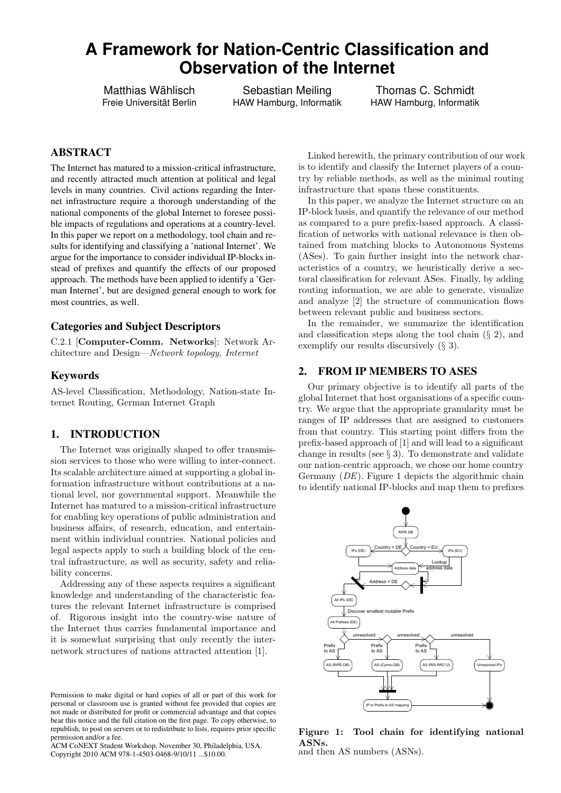# **A Framework for Nation-Centric Classification and Observation of the Internet**

Matthias Wählisch Freie Universität Berlin

Sebastian Meiling HAW Hamburg, Informatik

Thomas C. Schmidt HAW Hamburg, Informatik

# ABSTRACT

The Internet has matured to a mission-critical infrastructure, and recently attracted much attention at political and legal levels in many countries. Civil actions regarding the Internet infrastructure require a thorough understanding of the national components of the global Internet to foresee possible impacts of regulations and operations at a country-level. In this paper we report on a methodology, tool chain and results for identifying and classifying a 'national Internet'. We argue for the importance to consider individual IP-blocks instead of prefixes and quantify the effects of our proposed approach. The methods have been applied to identify a 'German Internet', but are designed general enough to work for most countries, as well.

#### Categories and Subject Descriptors

C.2.1 [Computer-Comm. Networks]: Network Architecture and Design—Network topology, Internet

#### Keywords

AS-level Classification, Methodology, Nation-state Internet Routing, German Internet Graph

# 1. INTRODUCTION

The Internet was originally shaped to offer transmission services to those who were willing to inter-connect. Its scalable architecture aimed at supporting a global information infrastructure without contributions at a national level, nor governmental support. Meanwhile the Internet has matured to a mission-critical infrastructure for enabling key operations of public administration and business affairs, of research, education, and entertainment within individual countries. National policies and legal aspects apply to such a building block of the central infrastructure, as well as security, safety and reliability concerns.

Addressing any of these aspects requires a significant knowledge and understanding of the characteristic features the relevant Internet infrastructure is comprised of. Rigorous insight into the country-wise nature of the Internet thus carries fundamental importance and it is somewhat surprising that only recently the internetwork structures of nations attracted attention [1].

Linked herewith, the primary contribution of our work is to identify and classify the Internet players of a country by reliable methods, as well as the minimal routing infrastructure that spans these constituents.

In this paper, we analyze the Internet structure on an IP-block basis, and quantify the relevance of our method as compared to a pure prefix-based approach. A classification of networks with national relevance is then obtained from matching blocks to Autonomous Systems (ASes). To gain further insight into the network characteristics of a country, we heuristically derive a sectoral classification for relevant ASes. Finally, by adding routing information, we are able to generate, visualize and analyze [2] the structure of communication flows between relevant public and business sectors.

In the remainder, we summarize the identification and classification steps along the tool chain  $(\S 2)$ , and exemplify our results discursively (§ 3).

## 2. FROM IP MEMBERS TO ASES

Our primary objective is to identify all parts of the global Internet that host organisations of a specific country. We argue that the appropriate granularity must be ranges of IP addresses that are assigned to customers from that country. This starting point differs from the prefix-based approach of [1] and will lead to a significant change in results (see § 3). To demonstrate and validate our nation-centric approach, we chose our home country Germany (DE). Figure 1 depicts the algorithmic chain to identify national IP-blocks and map them to prefixes



Figure 1: Tool chain for identifying national ASNs. and then AS numbers (ASNs).

Permission to make digital or hard copies of all or part of this work for personal or classroom use is granted without fee provided that copies are not made or distributed for profit or commercial advantage and that copies bear this notice and the full citation on the first page. To copy otherwise, to republish, to post on servers or to redistribute to lists, requires prior specific permission and/or a fee.

ACM CoNEXT Student Workshop, November 30, Philadelphia, USA. Copyright 2010 ACM 978-1-4503-0468-9/10/11 ...\$10.00.